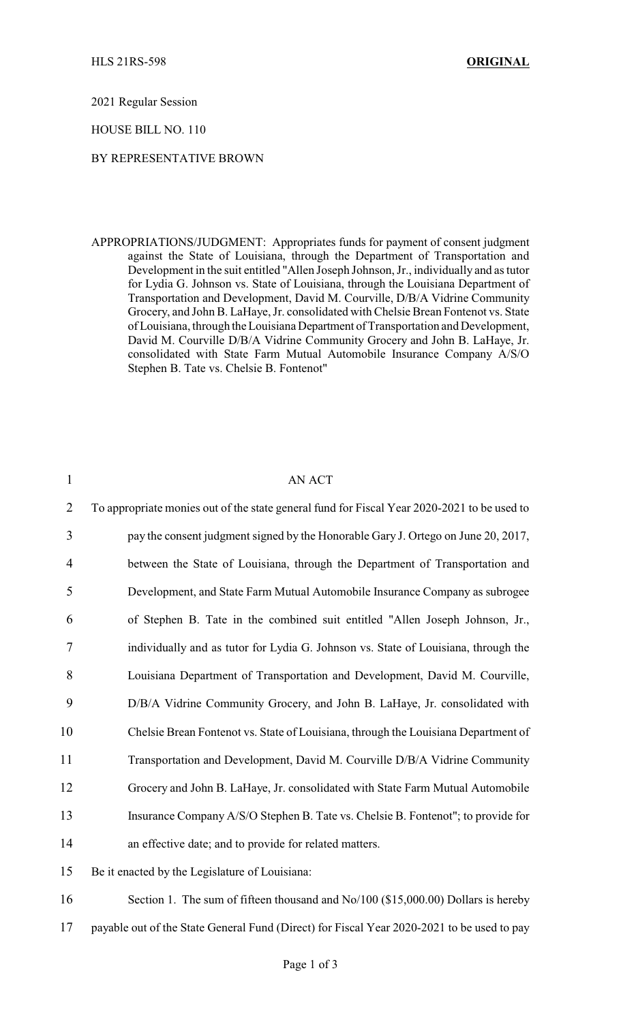2021 Regular Session

## HOUSE BILL NO. 110

## BY REPRESENTATIVE BROWN

APPROPRIATIONS/JUDGMENT: Appropriates funds for payment of consent judgment against the State of Louisiana, through the Department of Transportation and Development in the suit entitled "Allen Joseph Johnson, Jr., individually and as tutor for Lydia G. Johnson vs. State of Louisiana, through the Louisiana Department of Transportation and Development, David M. Courville, D/B/A Vidrine Community Grocery, and John B. LaHaye, Jr. consolidated with Chelsie Brean Fontenot vs. State of Louisiana, through the Louisiana Department of Transportation and Development, David M. Courville D/B/A Vidrine Community Grocery and John B. LaHaye, Jr. consolidated with State Farm Mutual Automobile Insurance Company A/S/O Stephen B. Tate vs. Chelsie B. Fontenot"

| $\mathbf{1}$   | AN ACT                                                                                      |
|----------------|---------------------------------------------------------------------------------------------|
| $\overline{2}$ | To appropriate monies out of the state general fund for Fiscal Year 2020-2021 to be used to |
| 3              | pay the consent judgment signed by the Honorable Gary J. Ortego on June 20, 2017,           |
| 4              | between the State of Louisiana, through the Department of Transportation and                |
| 5              | Development, and State Farm Mutual Automobile Insurance Company as subrogee                 |
| 6              | of Stephen B. Tate in the combined suit entitled "Allen Joseph Johnson, Jr.,                |
| 7              | individually and as tutor for Lydia G. Johnson vs. State of Louisiana, through the          |
| 8              | Louisiana Department of Transportation and Development, David M. Courville,                 |
| 9              | D/B/A Vidrine Community Grocery, and John B. LaHaye, Jr. consolidated with                  |
| 10             | Chelsie Brean Fontenot vs. State of Louisiana, through the Louisiana Department of          |
| 11             | Transportation and Development, David M. Courville D/B/A Vidrine Community                  |
| 12             | Grocery and John B. LaHaye, Jr. consolidated with State Farm Mutual Automobile              |
| 13             | Insurance Company A/S/O Stephen B. Tate vs. Chelsie B. Fontenot"; to provide for            |
| 14             | an effective date; and to provide for related matters.                                      |
| 15             | Be it enacted by the Legislature of Louisiana:                                              |
|                |                                                                                             |

16 Section 1. The sum of fifteen thousand and No/100 (\$15,000.00) Dollars is hereby 17 payable out of the State General Fund (Direct) for Fiscal Year 2020-2021 to be used to pay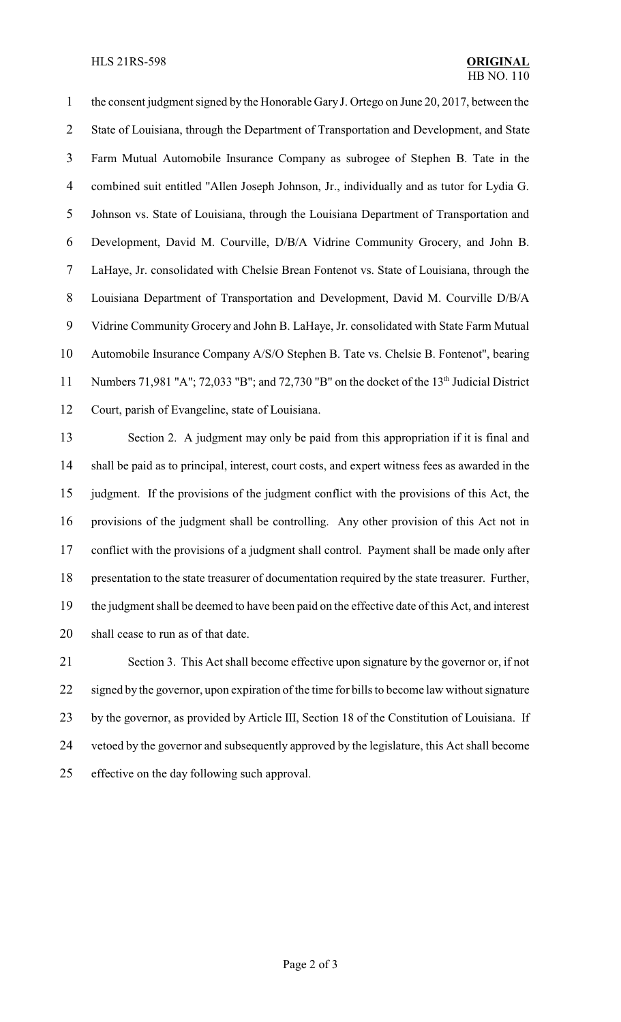the consent judgment signed by the Honorable Gary J. Ortego on June 20, 2017, between the 2 State of Louisiana, through the Department of Transportation and Development, and State Farm Mutual Automobile Insurance Company as subrogee of Stephen B. Tate in the combined suit entitled "Allen Joseph Johnson, Jr., individually and as tutor for Lydia G. Johnson vs. State of Louisiana, through the Louisiana Department of Transportation and Development, David M. Courville, D/B/A Vidrine Community Grocery, and John B. LaHaye, Jr. consolidated with Chelsie Brean Fontenot vs. State of Louisiana, through the Louisiana Department of Transportation and Development, David M. Courville D/B/A Vidrine Community Grocery and John B. LaHaye, Jr. consolidated with State Farm Mutual Automobile Insurance Company A/S/O Stephen B. Tate vs. Chelsie B. Fontenot", bearing 11 Numbers 71,981 "A"; 72,033 "B"; and 72,730 "B" on the docket of the 13<sup>th</sup> Judicial District Court, parish of Evangeline, state of Louisiana.

 Section 2. A judgment may only be paid from this appropriation if it is final and shall be paid as to principal, interest, court costs, and expert witness fees as awarded in the judgment. If the provisions of the judgment conflict with the provisions of this Act, the provisions of the judgment shall be controlling. Any other provision of this Act not in 17 conflict with the provisions of a judgment shall control. Payment shall be made only after presentation to the state treasurer of documentation required by the state treasurer. Further, the judgment shall be deemed to have been paid on the effective date of this Act, and interest shall cease to run as of that date.

 Section 3. This Act shall become effective upon signature by the governor or, if not 22 signed by the governor, upon expiration of the time for bills to become law without signature by the governor, as provided by Article III, Section 18 of the Constitution of Louisiana. If vetoed by the governor and subsequently approved by the legislature, this Act shall become effective on the day following such approval.